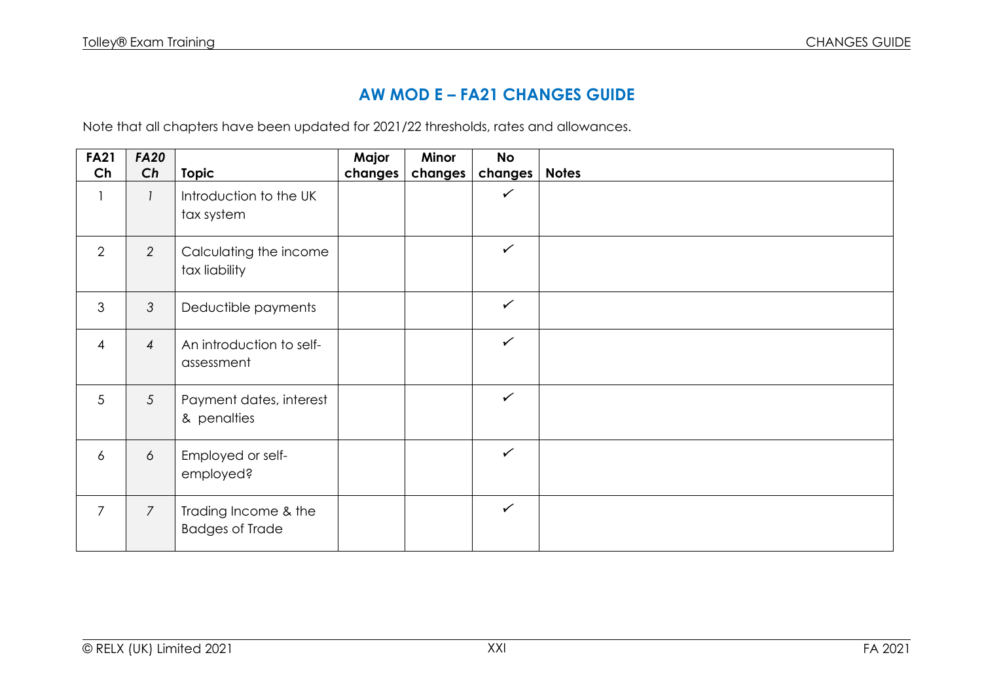## **AW MOD E – FA21 CHANGES GUIDE**

Note that all chapters have been updated for 2021/22 thresholds, rates and allowances.

| <b>FA21</b>    | <b>FA20</b>    |                                                | Major   | Minor   | <b>No</b>    |              |
|----------------|----------------|------------------------------------------------|---------|---------|--------------|--------------|
| Ch             | Ch             | <b>Topic</b>                                   | changes | changes | changes      | <b>Notes</b> |
|                |                | Introduction to the UK<br>tax system           |         |         | $\checkmark$ |              |
| $\overline{2}$ | $\overline{2}$ | Calculating the income<br>tax liability        |         |         | $\checkmark$ |              |
| 3              | 3              | Deductible payments                            |         |         | $\checkmark$ |              |
| $\overline{4}$ | $\overline{4}$ | An introduction to self-<br>assessment         |         |         | $\checkmark$ |              |
| 5              | 5              | Payment dates, interest<br>& penalties         |         |         | $\checkmark$ |              |
| 6              | 6              | Employed or self-<br>employed?                 |         |         | $\checkmark$ |              |
| $\overline{7}$ | $\overline{7}$ | Trading Income & the<br><b>Badges of Trade</b> |         |         | $\checkmark$ |              |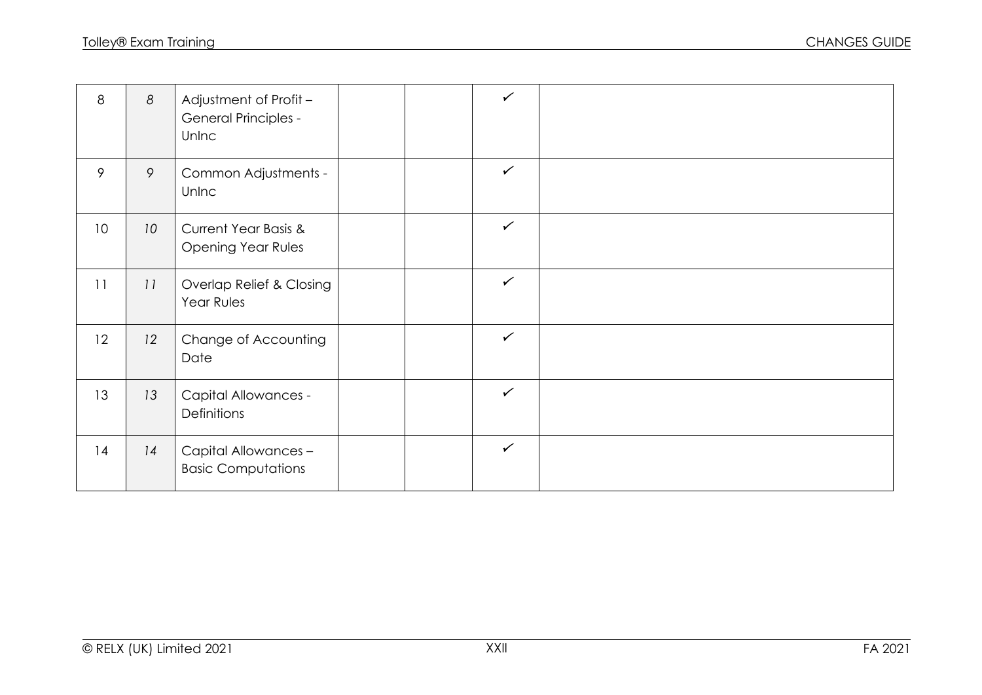| 8               | 8               | Adjustment of Profit -<br><b>General Principles -</b><br>Unlnc |  | $\checkmark$ |  |
|-----------------|-----------------|----------------------------------------------------------------|--|--------------|--|
| 9               | 9               | Common Adjustments -<br>Unlnc                                  |  | $\checkmark$ |  |
| 10 <sup>°</sup> | 10 <sup>°</sup> | <b>Current Year Basis &amp;</b><br><b>Opening Year Rules</b>   |  | $\checkmark$ |  |
| 11              | 11              | Overlap Relief & Closing<br>Year Rules                         |  | $\checkmark$ |  |
| 12              | 12              | Change of Accounting<br>Date                                   |  | $\checkmark$ |  |
| 13              | 13              | <b>Capital Allowances -</b><br>Definitions                     |  | $\checkmark$ |  |
| 14              | 14              | Capital Allowances -<br><b>Basic Computations</b>              |  | $\checkmark$ |  |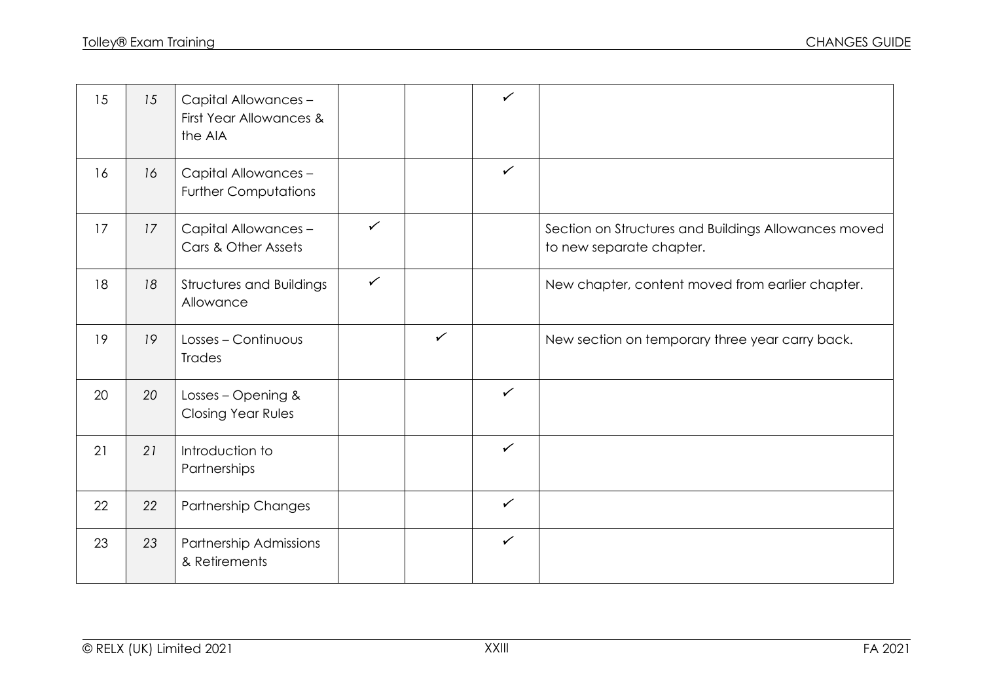| 15 | 15 | Capital Allowances -<br>First Year Allowances &<br>the AIA |   |              | $\checkmark$ |                                                                                  |
|----|----|------------------------------------------------------------|---|--------------|--------------|----------------------------------------------------------------------------------|
| 16 | 16 | Capital Allowances -<br><b>Further Computations</b>        |   |              | $\checkmark$ |                                                                                  |
| 17 | 17 | Capital Allowances -<br>Cars & Other Assets                | ✓ |              |              | Section on Structures and Buildings Allowances moved<br>to new separate chapter. |
| 18 | 18 | <b>Structures and Buildings</b><br>Allowance               | ✓ |              |              | New chapter, content moved from earlier chapter.                                 |
| 19 | 19 | Losses - Continuous<br><b>Trades</b>                       |   | $\checkmark$ |              | New section on temporary three year carry back.                                  |
| 20 | 20 | Losses - Opening &<br><b>Closing Year Rules</b>            |   |              | $\checkmark$ |                                                                                  |
| 21 | 21 | Introduction to<br>Partnerships                            |   |              | $\checkmark$ |                                                                                  |
| 22 | 22 | Partnership Changes                                        |   |              | $\checkmark$ |                                                                                  |
| 23 | 23 | Partnership Admissions<br>& Retirements                    |   |              | $\checkmark$ |                                                                                  |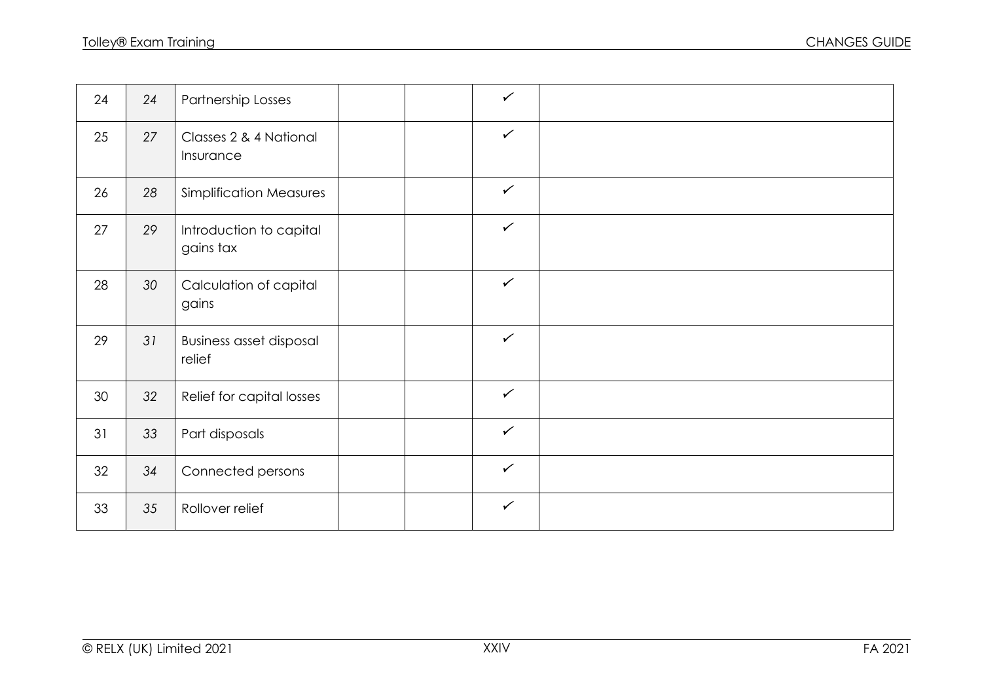| 24 | 24 | Partnership Losses                       | $\checkmark$ |  |
|----|----|------------------------------------------|--------------|--|
| 25 | 27 | Classes 2 & 4 National<br>Insurance      | $\checkmark$ |  |
| 26 | 28 | <b>Simplification Measures</b>           | $\checkmark$ |  |
| 27 | 29 | Introduction to capital<br>gains tax     | $\checkmark$ |  |
| 28 | 30 | Calculation of capital<br>gains          | $\checkmark$ |  |
| 29 | 31 | <b>Business asset disposal</b><br>relief | $\checkmark$ |  |
| 30 | 32 | Relief for capital losses                | $\checkmark$ |  |
| 31 | 33 | Part disposals                           | $\checkmark$ |  |
| 32 | 34 | Connected persons                        | $\checkmark$ |  |
| 33 | 35 | Rollover relief                          | $\checkmark$ |  |